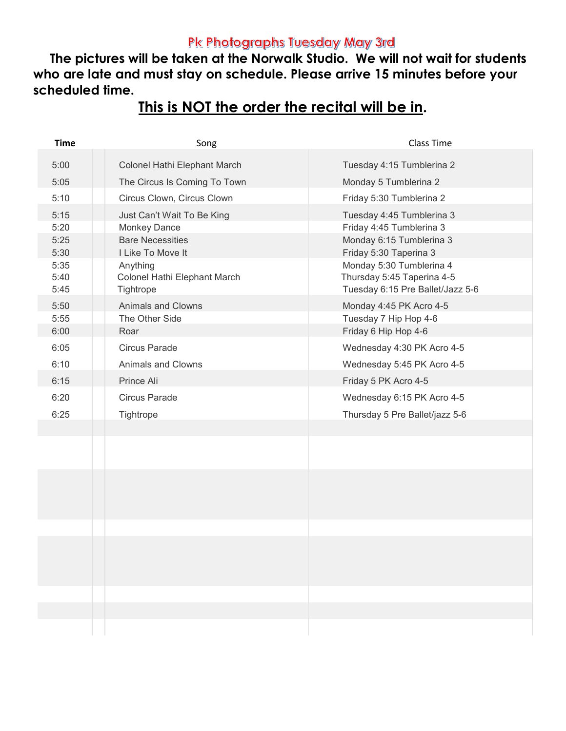## Pk Photographs Tuesday May 3rd

**The pictures will be taken at the Norwalk Studio. We will not wait for students who are late and must stay on schedule. Please arrive 15 minutes before your scheduled time.** 

| <b>Time</b>  | Song                                         | <b>Class Time</b>                                  |
|--------------|----------------------------------------------|----------------------------------------------------|
| 5:00         | Colonel Hathi Elephant March                 | Tuesday 4:15 Tumblerina 2                          |
| 5:05         | The Circus Is Coming To Town                 | Monday 5 Tumblerina 2                              |
| 5:10         | Circus Clown, Circus Clown                   | Friday 5:30 Tumblerina 2                           |
| 5:15         | Just Can't Wait To Be King                   | Tuesday 4:45 Tumblerina 3                          |
| 5:20         | <b>Monkey Dance</b>                          | Friday 4:45 Tumblerina 3                           |
| 5:25<br>5:30 | <b>Bare Necessities</b><br>I Like To Move It | Monday 6:15 Tumblerina 3<br>Friday 5:30 Taperina 3 |
| 5:35         | Anything                                     | Monday 5:30 Tumblerina 4                           |
| 5:40         | Colonel Hathi Elephant March                 | Thursday 5:45 Taperina 4-5                         |
| 5:45         | Tightrope                                    | Tuesday 6:15 Pre Ballet/Jazz 5-6                   |
| 5:50<br>5:55 | <b>Animals and Clowns</b><br>The Other Side  | Monday 4:45 PK Acro 4-5<br>Tuesday 7 Hip Hop 4-6   |
| 6:00         | Roar                                         | Friday 6 Hip Hop 4-6                               |
| 6:05         | <b>Circus Parade</b>                         | Wednesday 4:30 PK Acro 4-5                         |
| 6:10         | Animals and Clowns                           | Wednesday 5:45 PK Acro 4-5                         |
| 6:15         | Prince Ali                                   | Friday 5 PK Acro 4-5                               |
| 6:20         | <b>Circus Parade</b>                         | Wednesday 6:15 PK Acro 4-5                         |
| 6:25         | Tightrope                                    | Thursday 5 Pre Ballet/jazz 5-6                     |
|              |                                              |                                                    |
|              |                                              |                                                    |
|              |                                              |                                                    |
|              |                                              |                                                    |
|              |                                              |                                                    |
|              |                                              |                                                    |
|              |                                              |                                                    |
|              |                                              |                                                    |
|              |                                              |                                                    |
|              |                                              |                                                    |
|              |                                              |                                                    |
|              |                                              |                                                    |
|              |                                              |                                                    |

## **This is NOT the order the recital will be in.**